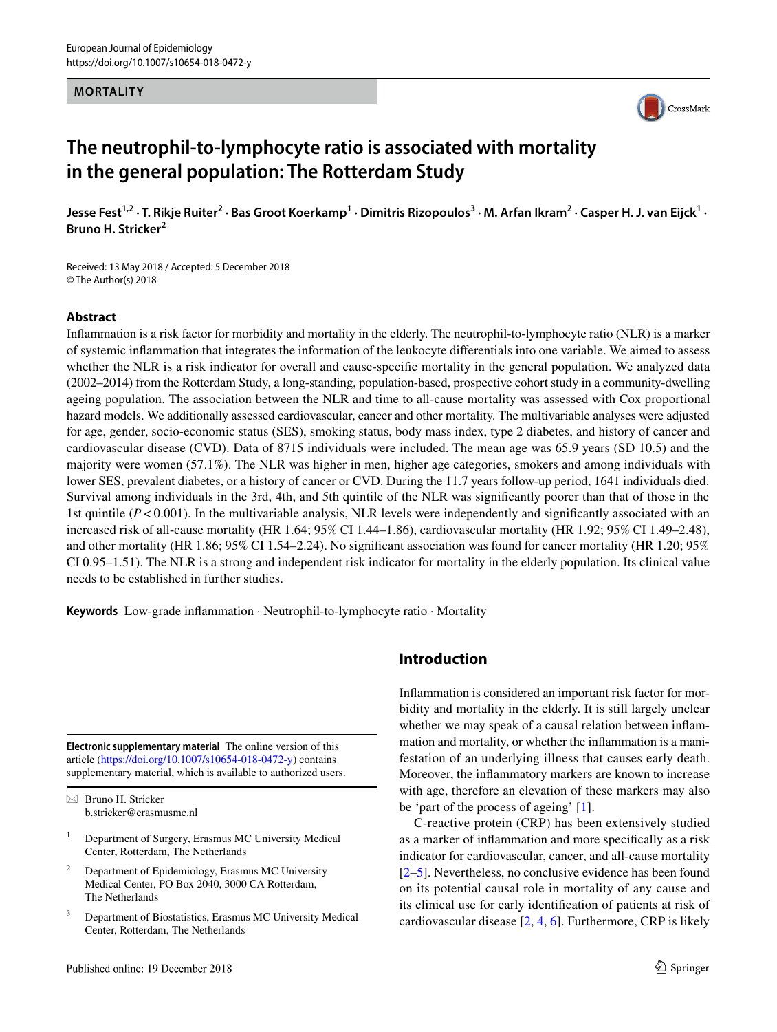#### **MORTALITY**



# **The neutrophil‑to‑lymphocyte ratio is associated with mortality in the general population: The Rotterdam Study**

Jesse Fest<sup>1,2</sup> · T. Rikje Ruiter<sup>2</sup> · Bas Groot Koerkamp<sup>1</sup> · Dimitris Rizopoulos<sup>3</sup> · M. Arfan Ikram<sup>2</sup> · Casper H. J. van Eijck<sup>1</sup> · **Bruno H. Stricker<sup>2</sup>**

Received: 13 May 2018 / Accepted: 5 December 2018 © The Author(s) 2018

# **Abstract**

Infammation is a risk factor for morbidity and mortality in the elderly. The neutrophil-to-lymphocyte ratio (NLR) is a marker of systemic infammation that integrates the information of the leukocyte diferentials into one variable. We aimed to assess whether the NLR is a risk indicator for overall and cause-specific mortality in the general population. We analyzed data (2002–2014) from the Rotterdam Study, a long-standing, population-based, prospective cohort study in a community-dwelling ageing population. The association between the NLR and time to all-cause mortality was assessed with Cox proportional hazard models. We additionally assessed cardiovascular, cancer and other mortality. The multivariable analyses were adjusted for age, gender, socio-economic status (SES), smoking status, body mass index, type 2 diabetes, and history of cancer and cardiovascular disease (CVD). Data of 8715 individuals were included. The mean age was 65.9 years (SD 10.5) and the majority were women (57.1%). The NLR was higher in men, higher age categories, smokers and among individuals with lower SES, prevalent diabetes, or a history of cancer or CVD. During the 11.7 years follow-up period, 1641 individuals died. Survival among individuals in the 3rd, 4th, and 5th quintile of the NLR was signifcantly poorer than that of those in the 1st quintile  $(P < 0.001)$ . In the multivariable analysis, NLR levels were independently and significantly associated with an increased risk of all-cause mortality (HR 1.64; 95% CI 1.44–1.86), cardiovascular mortality (HR 1.92; 95% CI 1.49–2.48), and other mortality (HR 1.86; 95% CI 1.54–2.24). No signifcant association was found for cancer mortality (HR 1.20; 95% CI 0.95–1.51). The NLR is a strong and independent risk indicator for mortality in the elderly population. Its clinical value needs to be established in further studies.

**Keywords** Low-grade infammation · Neutrophil-to-lymphocyte ratio · Mortality

**Electronic supplementary material** The online version of this article [\(https://doi.org/10.1007/s10654-018-0472-y\)](https://doi.org/10.1007/s10654-018-0472-y) contains supplementary material, which is available to authorized users.

 $\boxtimes$  Bruno H. Stricker b.stricker@erasmusmc.nl

- <sup>1</sup> Department of Surgery, Erasmus MC University Medical Center, Rotterdam, The Netherlands
- <sup>2</sup> Department of Epidemiology, Erasmus MC University Medical Center, PO Box 2040, 3000 CA Rotterdam, The Netherlands
- <sup>3</sup> Department of Biostatistics, Erasmus MC University Medical Center, Rotterdam, The Netherlands

# **Introduction**

Infammation is considered an important risk factor for morbidity and mortality in the elderly. It is still largely unclear whether we may speak of a causal relation between infammation and mortality, or whether the infammation is a manifestation of an underlying illness that causes early death. Moreover, the infammatory markers are known to increase with age, therefore an elevation of these markers may also be 'part of the process of ageing' [\[1](#page-6-0)].

C-reactive protein (CRP) has been extensively studied as a marker of infammation and more specifcally as a risk indicator for cardiovascular, cancer, and all-cause mortality [\[2–](#page-6-1)[5\]](#page-7-0). Nevertheless, no conclusive evidence has been found on its potential causal role in mortality of any cause and its clinical use for early identifcation of patients at risk of cardiovascular disease [[2](#page-6-1), [4,](#page-7-1) [6\]](#page-7-2). Furthermore, CRP is likely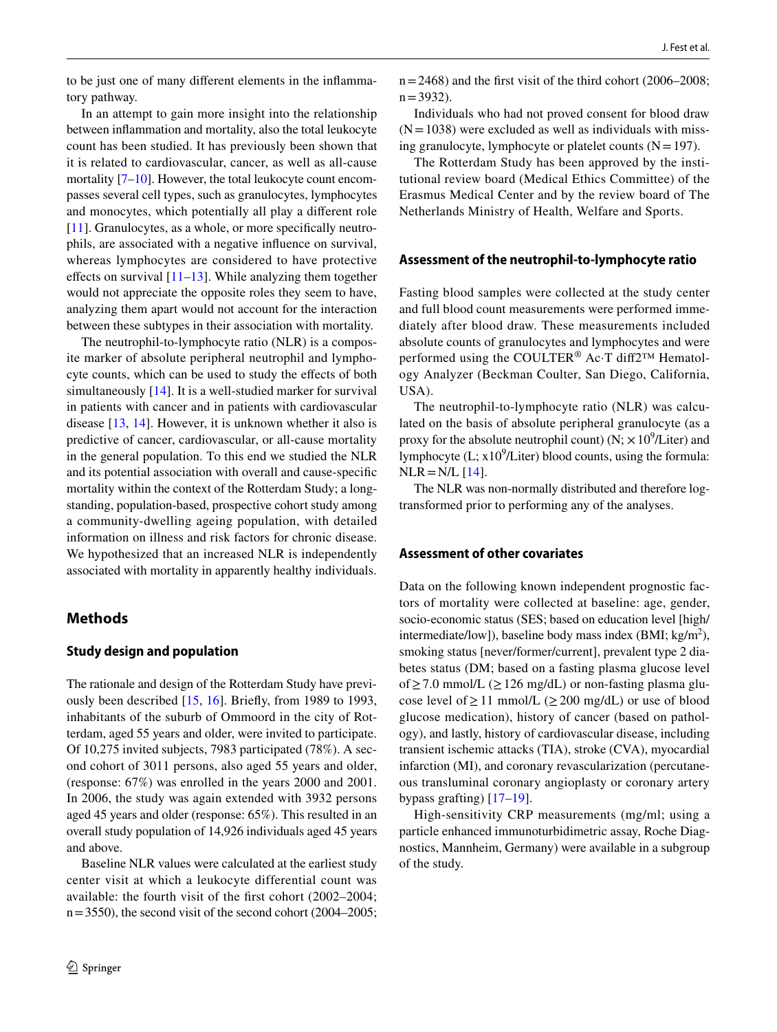to be just one of many diferent elements in the infammatory pathway.

In an attempt to gain more insight into the relationship between infammation and mortality, also the total leukocyte count has been studied. It has previously been shown that it is related to cardiovascular, cancer, as well as all-cause mortality [\[7](#page-7-3)[–10\]](#page-7-4). However, the total leukocyte count encompasses several cell types, such as granulocytes, lymphocytes and monocytes, which potentially all play a diferent role [\[11](#page-7-5)]. Granulocytes, as a whole, or more specifically neutrophils, are associated with a negative infuence on survival, whereas lymphocytes are considered to have protective effects on survival  $[11-13]$  $[11-13]$  $[11-13]$ . While analyzing them together would not appreciate the opposite roles they seem to have, analyzing them apart would not account for the interaction between these subtypes in their association with mortality.

The neutrophil-to-lymphocyte ratio (NLR) is a composite marker of absolute peripheral neutrophil and lymphocyte counts, which can be used to study the effects of both simultaneously [[14\]](#page-7-7). It is a well-studied marker for survival in patients with cancer and in patients with cardiovascular disease [\[13](#page-7-6), [14\]](#page-7-7). However, it is unknown whether it also is predictive of cancer, cardiovascular, or all-cause mortality in the general population. To this end we studied the NLR and its potential association with overall and cause-specifc mortality within the context of the Rotterdam Study; a longstanding, population-based, prospective cohort study among a community-dwelling ageing population, with detailed information on illness and risk factors for chronic disease. We hypothesized that an increased NLR is independently associated with mortality in apparently healthy individuals.

# **Methods**

#### **Study design and population**

The rationale and design of the Rotterdam Study have previously been described [[15,](#page-7-8) [16](#page-7-9)]. Briefy, from 1989 to 1993, inhabitants of the suburb of Ommoord in the city of Rotterdam, aged 55 years and older, were invited to participate. Of 10,275 invited subjects, 7983 participated (78%). A second cohort of 3011 persons, also aged 55 years and older, (response: 67%) was enrolled in the years 2000 and 2001. In 2006, the study was again extended with 3932 persons aged 45 years and older (response: 65%). This resulted in an overall study population of 14,926 individuals aged 45 years and above.

Baseline NLR values were calculated at the earliest study center visit at which a leukocyte differential count was available: the fourth visit of the frst cohort (2002–2004;  $n=3550$ ), the second visit of the second cohort (2004–2005;

 $n=2468$ ) and the first visit of the third cohort (2006–2008;  $n = 3932$ ).

Individuals who had not proved consent for blood draw  $(N=1038)$  were excluded as well as individuals with missing granulocyte, lymphocyte or platelet counts  $(N=197)$ .

The Rotterdam Study has been approved by the institutional review board (Medical Ethics Committee) of the Erasmus Medical Center and by the review board of The Netherlands Ministry of Health, Welfare and Sports.

#### **Assessment of the neutrophil‑to‑lymphocyte ratio**

Fasting blood samples were collected at the study center and full blood count measurements were performed immediately after blood draw. These measurements included absolute counts of granulocytes and lymphocytes and were performed using the COULTER<sup>®</sup> Ac⋅T diff2™ Hematology Analyzer (Beckman Coulter, San Diego, California, USA).

The neutrophil-to-lymphocyte ratio (NLR) was calculated on the basis of absolute peripheral granulocyte (as a proxy for the absolute neutrophil count) (N;  $\times 10^9$ /Liter) and lymphocyte  $(L; x10<sup>9</sup>/Liter)$  blood counts, using the formula:  $NLR = N/L$  [[14\]](#page-7-7).

The NLR was non-normally distributed and therefore logtransformed prior to performing any of the analyses.

# **Assessment of other covariates**

Data on the following known independent prognostic factors of mortality were collected at baseline: age, gender, socio-economic status (SES; based on education level [high/ intermediate/low]), baseline body mass index (BMI; kg/m<sup>2</sup>), smoking status [never/former/current], prevalent type 2 diabetes status (DM; based on a fasting plasma glucose level of ≥ 7.0 mmol/L (≥ 126 mg/dL) or non-fasting plasma glucose level of  $\geq$  11 mmol/L ( $\geq$  200 mg/dL) or use of blood glucose medication), history of cancer (based on pathology), and lastly, history of cardiovascular disease, including transient ischemic attacks (TIA), stroke (CVA), myocardial infarction (MI), and coronary revascularization (percutaneous transluminal coronary angioplasty or coronary artery bypass grafting)  $[17–19]$  $[17–19]$ .

High-sensitivity CRP measurements (mg/ml; using a particle enhanced immunoturbidimetric assay, Roche Diagnostics, Mannheim, Germany) were available in a subgroup of the study.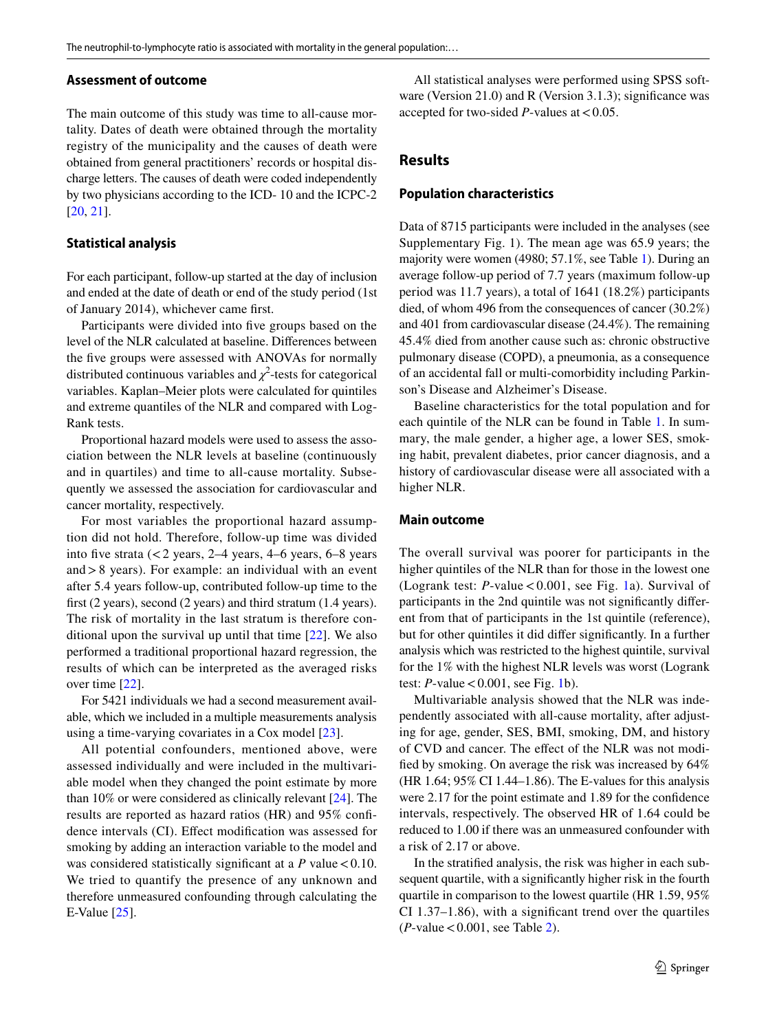## **Assessment of outcome**

The main outcome of this study was time to all-cause mortality. Dates of death were obtained through the mortality registry of the municipality and the causes of death were obtained from general practitioners' records or hospital discharge letters. The causes of death were coded independently by two physicians according to the ICD- 10 and the ICPC-2 [\[20,](#page-7-12) [21\]](#page-7-13).

## **Statistical analysis**

For each participant, follow-up started at the day of inclusion and ended at the date of death or end of the study period (1st of January 2014), whichever came frst.

Participants were divided into five groups based on the level of the NLR calculated at baseline. Diferences between the five groups were assessed with ANOVAs for normally distributed continuous variables and  $\chi^2$ -tests for categorical variables. Kaplan–Meier plots were calculated for quintiles and extreme quantiles of the NLR and compared with Log-Rank tests.

Proportional hazard models were used to assess the association between the NLR levels at baseline (continuously and in quartiles) and time to all-cause mortality. Subsequently we assessed the association for cardiovascular and cancer mortality, respectively.

For most variables the proportional hazard assumption did not hold. Therefore, follow-up time was divided into five strata  $(< 2$  years, 2–4 years, 4–6 years, 6–8 years and>8 years). For example: an individual with an event after 5.4 years follow-up, contributed follow-up time to the frst (2 years), second (2 years) and third stratum (1.4 years). The risk of mortality in the last stratum is therefore conditional upon the survival up until that time [\[22\]](#page-7-14). We also performed a traditional proportional hazard regression, the results of which can be interpreted as the averaged risks over time [[22\]](#page-7-14).

For 5421 individuals we had a second measurement available, which we included in a multiple measurements analysis using a time-varying covariates in a Cox model [[23\]](#page-7-15).

All potential confounders, mentioned above, were assessed individually and were included in the multivariable model when they changed the point estimate by more than 10% or were considered as clinically relevant [\[24](#page-7-16)]. The results are reported as hazard ratios (HR) and 95% confdence intervals (CI). Efect modifcation was assessed for smoking by adding an interaction variable to the model and was considered statistically significant at a  $P$  value < 0.10. We tried to quantify the presence of any unknown and therefore unmeasured confounding through calculating the E-Value [[25](#page-7-17)].

All statistical analyses were performed using SPSS software (Version 21.0) and R (Version 3.1.3); significance was accepted for two-sided  $P$ -values at <0.05.

# **Results**

## **Population characteristics**

Data of 8715 participants were included in the analyses (see Supplementary Fig. 1). The mean age was 65.9 years; the majority were women (4980; 57.1%, see Table [1](#page-3-0)). During an average follow-up period of 7.7 years (maximum follow-up period was 11.7 years), a total of 1641 (18.2%) participants died, of whom 496 from the consequences of cancer (30.2%) and 401 from cardiovascular disease (24.4%). The remaining 45.4% died from another cause such as: chronic obstructive pulmonary disease (COPD), a pneumonia, as a consequence of an accidental fall or multi-comorbidity including Parkinson's Disease and Alzheimer's Disease.

Baseline characteristics for the total population and for each quintile of the NLR can be found in Table [1](#page-3-0). In summary, the male gender, a higher age, a lower SES, smoking habit, prevalent diabetes, prior cancer diagnosis, and a history of cardiovascular disease were all associated with a higher NLR.

## **Main outcome**

The overall survival was poorer for participants in the higher quintiles of the NLR than for those in the lowest one (Logrank test: *P*-value<0.001, see Fig. [1a](#page-4-0)). Survival of participants in the 2nd quintile was not signifcantly diferent from that of participants in the 1st quintile (reference), but for other quintiles it did difer signifcantly. In a further analysis which was restricted to the highest quintile, survival for the 1% with the highest NLR levels was worst (Logrank test:  $P$ -value < 0.001, see Fig. [1b](#page-4-0)).

Multivariable analysis showed that the NLR was independently associated with all-cause mortality, after adjusting for age, gender, SES, BMI, smoking, DM, and history of CVD and cancer. The efect of the NLR was not modifed by smoking. On average the risk was increased by 64% (HR 1.64; 95% CI 1.44–1.86). The E-values for this analysis were 2.17 for the point estimate and 1.89 for the confdence intervals, respectively. The observed HR of 1.64 could be reduced to 1.00 if there was an unmeasured confounder with a risk of 2.17 or above.

In the stratifed analysis, the risk was higher in each subsequent quartile, with a signifcantly higher risk in the fourth quartile in comparison to the lowest quartile (HR 1.59, 95% CI 1.37–1.86), with a signifcant trend over the quartiles  $(P$ -value < 0.001, see Table [2](#page-4-1)).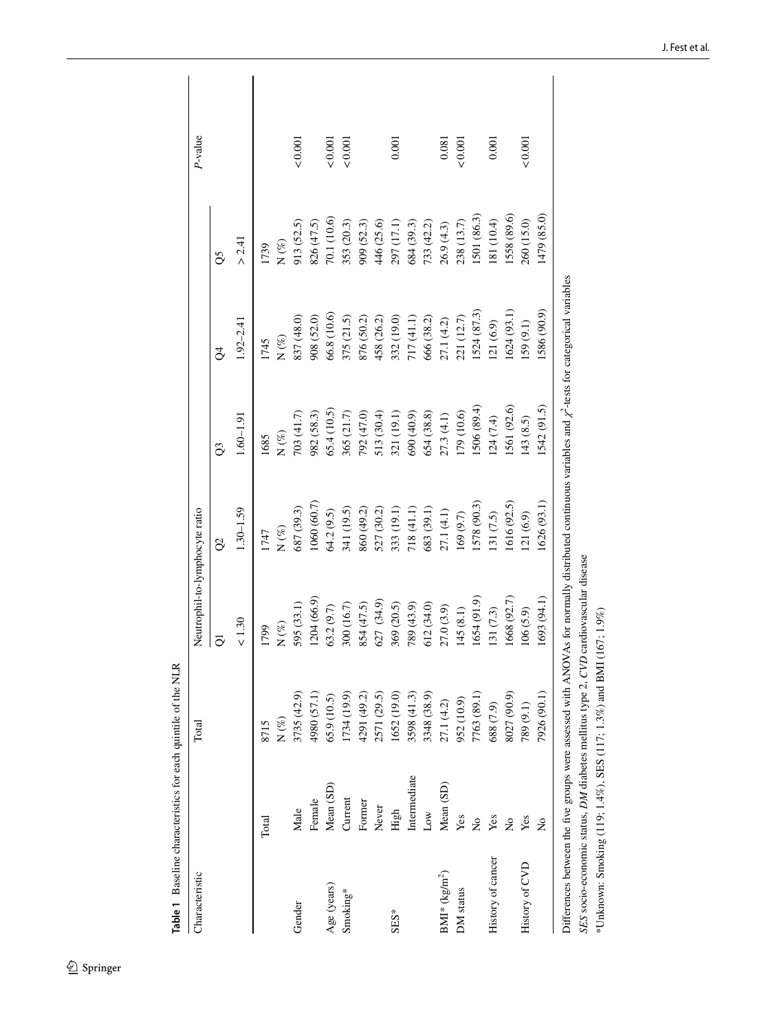| Characteristic    |                         | Total                                                                                                                                                                                                                                           | Neutrophil-to-lymphocyte ratio |                |               |               |             | P-value |
|-------------------|-------------------------|-------------------------------------------------------------------------------------------------------------------------------------------------------------------------------------------------------------------------------------------------|--------------------------------|----------------|---------------|---------------|-------------|---------|
|                   |                         |                                                                                                                                                                                                                                                 | $\overline{\circ}$             | $\overline{Q}$ | $\delta$      | \$            | Ś           |         |
|                   |                         |                                                                                                                                                                                                                                                 | $< 1.30$                       | $1.30 - 1.59$  | $1.60 - 1.91$ | $1.92 - 2.41$ | > 2.41      |         |
|                   | Total                   | 8715                                                                                                                                                                                                                                            | 1799                           | 1747           | 1685          | 1745          | 1739        |         |
|                   |                         | N $(\%)$                                                                                                                                                                                                                                        | N $(\%)$                       | N $(\%)$       | N $(\%)$      | N $(\%)$      | N $(\%)$    |         |
| Gender            | Male                    | 3735 (42.9)                                                                                                                                                                                                                                     | 595 (33.1)                     | 687 (39.3)     | 703 (41.7)    | 837 (48.0)    | 913 (52.5)  | 0.001   |
|                   | Female                  | 4980 (57.1)                                                                                                                                                                                                                                     | 1204(66.9)                     | 1060 (60.7)    | 982 (58.3)    | 908 (52.0)    | 826 (47.5)  |         |
| Age (years)       | Mean (SD)               | 65.9 (10.5)                                                                                                                                                                                                                                     | 63.2(9.7)                      | 64.2(9.5)      | 65.4(10.5)    | 66.8 (10.6)   | 70.1 (10.6) | 0.001   |
| Smoking*          | Current                 | 1734(19.9)                                                                                                                                                                                                                                      | 300 (16.7)                     | 341 (19.5)     | 365 (21.7)    | 375 (21.5)    | 353 (20.3)  | 0.001   |
|                   | Former                  | 4291 (49.2)                                                                                                                                                                                                                                     | 854 (47.5)                     | 860 (49.2)     | 792 (47.0)    | 876 (50.2)    | 909 (52.3)  |         |
|                   | Never                   | 2571 (29.5)                                                                                                                                                                                                                                     | 627 (34.9)                     | 527 (30.2)     | 513 (30.4)    | 458 (26.2)    | 446 (25.6)  |         |
| SES*              | High                    | (652 (19.0)                                                                                                                                                                                                                                     | 369 (20.5)                     | 333 (19.1)     | 321 (19.1)    | 332 (19.0)    | 297 (17.1)  | 0.001   |
|                   | Intermediate            | 3598 (41.3)                                                                                                                                                                                                                                     | 789 (43.9)                     | 718 (41.1)     | 690 (40.9)    | 717 (41.1)    | 684 (39.3)  |         |
|                   | $_{\text{Low}}$         | 3348 (38.9)                                                                                                                                                                                                                                     | 612 (34.0)                     | 683 (39.1)     | 654 (38.8)    | 666 (38.2)    | 733 (42.2)  |         |
| $BMI^*(kg/m^2)$   | Mean (SD)               | 27.1(4.2)                                                                                                                                                                                                                                       | 27.0 (3.9)                     | 27.1 (4.1)     | 27.3(4.1)     | 27.1 (4.2)    | 26.9(4.3)   | 0.081   |
| DM status         | Yes                     | 952 (10.9)                                                                                                                                                                                                                                      | 145(8.1)                       | (69(9.7))      | (79(10.6)     | 221 (12.7)    | 238 (13.7)  | 0.001   |
|                   | $\mathsf{\hat{z}}$      | 7763 (89.1)                                                                                                                                                                                                                                     | (654(91.9))                    | [578 (90.3)    | (506(89.4))   | 1524(87.3)    | 1501 (86.3) |         |
| History of cancer | Yes                     | 688 (7.9)                                                                                                                                                                                                                                       | (7.3)                          | (31(7.5))      | 124(7.4)      | (21(6.9))     | (10.4) [8]  | 0.001   |
|                   | $\overline{\mathsf{z}}$ | 8027 (90.9)                                                                                                                                                                                                                                     | 1668 (92.7)                    | .616(92.5)     | 561 (92.6)    | (624 (93.1)   | 1558 (89.6) |         |
| History of CVD    | Yes                     | 789 (9.1)                                                                                                                                                                                                                                       | 106(5.9)                       | (21(6.9))      | 43 (8.5)      | (59(9.1)      | 260 (15.0)  | &0.001  |
|                   | $\overline{a}$          | 7926 (90.1)                                                                                                                                                                                                                                     | 1693 (94.1)                    | (626(93.1))    | [542(91.5)]   | (86(90.9))    | 1479 (85.0) |         |
|                   |                         | Differences between the five groups were assessed with ANOVAs for normally distributed continuous variables and $\chi^2$ -tests for categorical variables<br>SES socio-economic status, DM diabetes mellitus type 2, CVD cardiovascular disease |                                |                |               |               |             |         |
|                   |                         |                                                                                                                                                                                                                                                 |                                |                |               |               |             |         |

Table 1 Baseline characteristics for each quintile of the NLR **Table 1** Baseline characteristics for each quintile of the NLR

<span id="page-3-0"></span> $\underline{\textcircled{\tiny 2}}$  Springer

\*Unknown: Smoking (119; 1.4%), SES (117; 1.3%) and BMI (167; 1.9%)

\*Unknown: Smoking (119; 1.4%), SES (117; 1.3%) and BMI (167; 1.9%)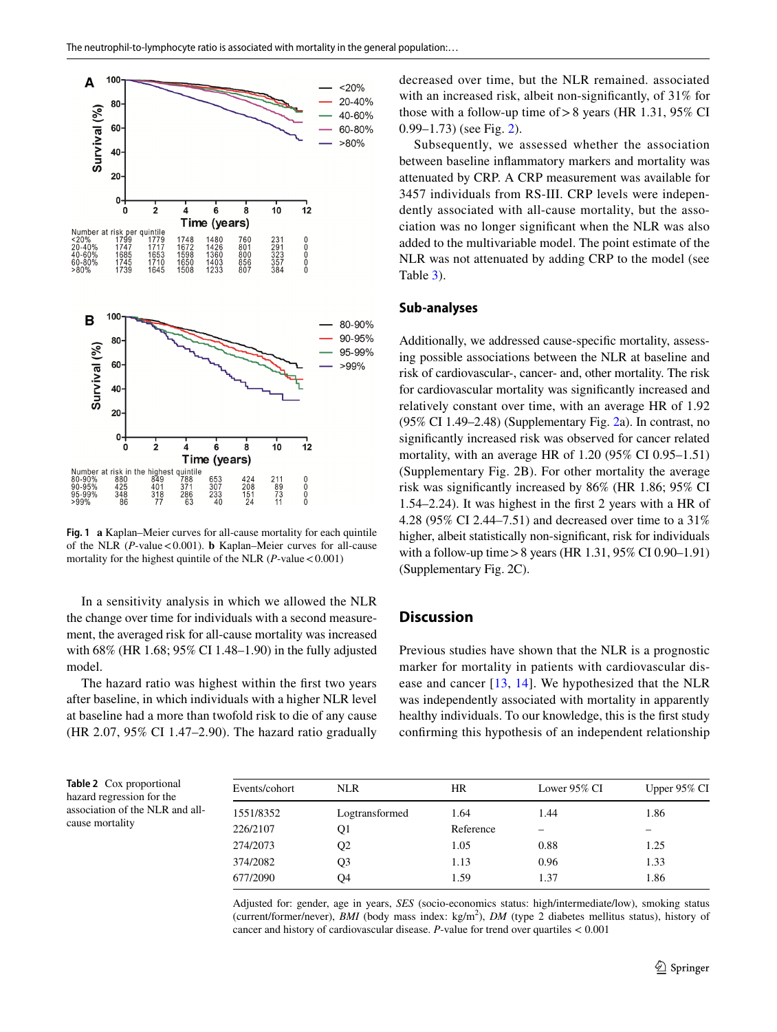

<span id="page-4-0"></span>**Fig. 1 a** Kaplan–Meier curves for all-cause mortality for each quintile of the NLR (*P*-value<0.001). **b** Kaplan–Meier curves for all-cause mortality for the highest quintile of the NLR ( $P$ -value <0.001)

In a sensitivity analysis in which we allowed the NLR the change over time for individuals with a second measurement, the averaged risk for all-cause mortality was increased with 68% (HR 1.68; 95% CI 1.48–1.90) in the fully adjusted model.

The hazard ratio was highest within the first two years after baseline, in which individuals with a higher NLR level at baseline had a more than twofold risk to die of any cause (HR 2.07, 95% CI 1.47–2.90). The hazard ratio gradually

decreased over time, but the NLR remained. associated with an increased risk, albeit non-significantly, of 31% for those with a follow-up time of  $> 8$  years (HR 1.31, 95% CI 0.99–1.73) (see Fig. [2\)](#page-5-0).

Subsequently, we assessed whether the association between baseline infammatory markers and mortality was attenuated by CRP. A CRP measurement was available for 3457 individuals from RS-III. CRP levels were independently associated with all-cause mortality, but the association was no longer signifcant when the NLR was also added to the multivariable model. The point estimate of the NLR was not attenuated by adding CRP to the model (see Table [3](#page-5-1)).

## **Sub‑analyses**

Additionally, we addressed cause-specifc mortality, assessing possible associations between the NLR at baseline and risk of cardiovascular-, cancer- and, other mortality. The risk for cardiovascular mortality was signifcantly increased and relatively constant over time, with an average HR of 1.92 (95% CI 1.49–2.48) (Supplementary Fig. [2](#page-5-0)a). In contrast, no signifcantly increased risk was observed for cancer related mortality, with an average HR of 1.20 (95% CI 0.95–1.51) (Supplementary Fig. 2B). For other mortality the average risk was signifcantly increased by 86% (HR 1.86; 95% CI 1.54–2.24). It was highest in the frst 2 years with a HR of 4.28 (95% CI 2.44–7.51) and decreased over time to a 31% higher, albeit statistically non-signifcant, risk for individuals with a follow-up time>8 years (HR 1.31, 95% CI 0.90–1.91) (Supplementary Fig. 2C).

# **Discussion**

Previous studies have shown that the NLR is a prognostic marker for mortality in patients with cardiovascular disease and cancer [[13](#page-7-6), [14](#page-7-7)]. We hypothesized that the NLR was independently associated with mortality in apparently healthy individuals. To our knowledge, this is the first study confrming this hypothesis of an independent relationship

<span id="page-4-1"></span>**Table 2** Cox proportional hazard regression for the association of the NLR and allcause mortality

| Events/cohort | NLR.           | <b>HR</b> | Lower $95\%$ CI | Upper $95\%$ CI |
|---------------|----------------|-----------|-----------------|-----------------|
| 1551/8352     | Logtransformed | 1.64      | 1.44            | 1.86            |
| 226/2107      | Q1             | Reference | -               |                 |
| 274/2073      | Q2             | 1.05      | 0.88            | 1.25            |
| 374/2082      | Q3             | 1.13      | 0.96            | 1.33            |
| 677/2090      | O4             | 1.59      | 1.37            | 1.86            |

Adjusted for: gender, age in years, *SES* (socio-economics status: high/intermediate/low), smoking status (current/former/never), *BMI* (body mass index: kg/m<sup>2</sup>), *DM* (type 2 diabetes mellitus status), history of cancer and history of cardiovascular disease. *P*-value for trend over quartiles < 0.001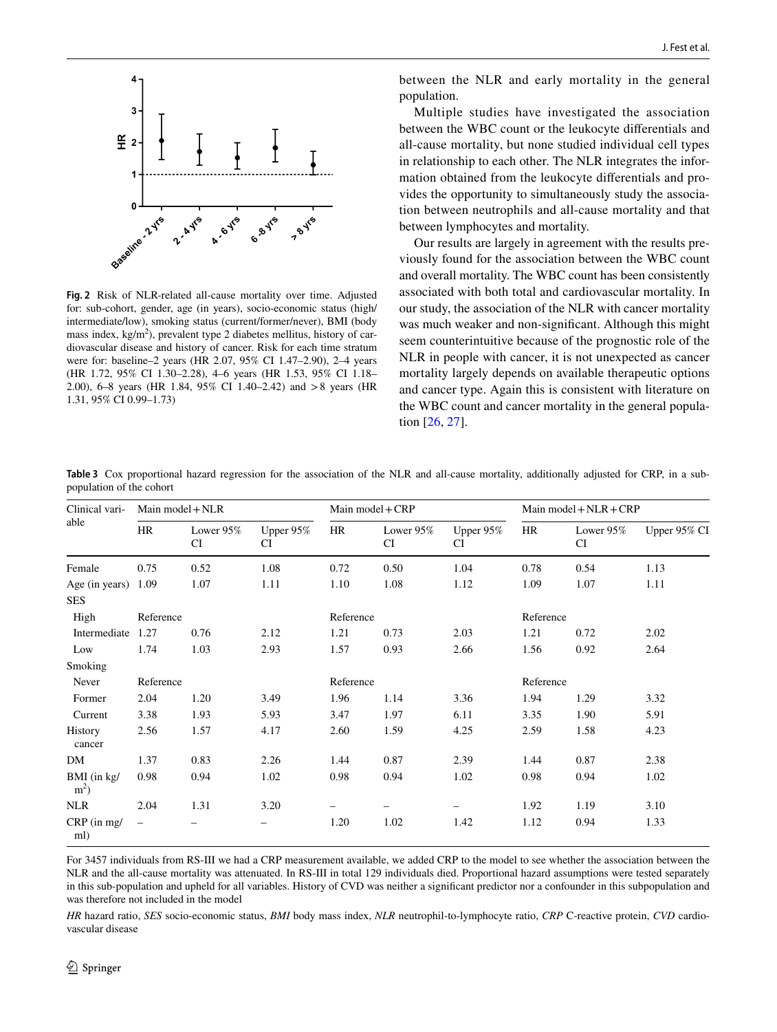

<span id="page-5-0"></span>**Fig. 2** Risk of NLR-related all-cause mortality over time. Adjusted for: sub-cohort, gender, age (in years), socio-economic status (high/ intermediate/low), smoking status (current/former/never), BMI (body mass index,  $kg/m<sup>2</sup>$ ), prevalent type 2 diabetes mellitus, history of cardiovascular disease and history of cancer. Risk for each time stratum were for: baseline–2 years (HR 2.07, 95% CI 1.47–2.90), 2–4 years (HR 1.72, 95% CI 1.30–2.28), 4–6 years (HR 1.53, 95% CI 1.18– 2.00), 6–8 years (HR 1.84, 95% CI 1.40–2.42) and >8 years (HR 1.31, 95% CI 0.99–1.73)

between the NLR and early mortality in the general population.

Multiple studies have investigated the association between the WBC count or the leukocyte diferentials and all-cause mortality, but none studied individual cell types in relationship to each other. The NLR integrates the information obtained from the leukocyte diferentials and provides the opportunity to simultaneously study the association between neutrophils and all-cause mortality and that between lymphocytes and mortality.

Our results are largely in agreement with the results previously found for the association between the WBC count and overall mortality. The WBC count has been consistently associated with both total and cardiovascular mortality. In our study, the association of the NLR with cancer mortality was much weaker and non-signifcant. Although this might seem counterintuitive because of the prognostic role of the NLR in people with cancer, it is not unexpected as cancer mortality largely depends on available therapeutic options and cancer type. Again this is consistent with literature on the WBC count and cancer mortality in the general population [[26,](#page-7-18) [27\]](#page-7-19).

| Clinical vari-<br>able            | Main model + NLR         |                           |                 | Main model + $CRP$ |                           |                           | Main model + $NLR$ + $CRP$ |                           |              |
|-----------------------------------|--------------------------|---------------------------|-----------------|--------------------|---------------------------|---------------------------|----------------------------|---------------------------|--------------|
|                                   | HR                       | Lower $95\%$<br><b>CI</b> | Upper 95%<br>CI | HR                 | Lower $95\%$<br><b>CI</b> | Upper $95\%$<br><b>CI</b> | HR                         | Lower $95\%$<br><b>CI</b> | Upper 95% CI |
| Female                            | 0.75                     | 0.52                      | 1.08            | 0.72               | 0.50                      | 1.04                      | 0.78                       | 0.54                      | 1.13         |
| Age (in years) 1.09<br><b>SES</b> |                          | 1.07                      | 1.11            | 1.10               | 1.08                      | 1.12                      | 1.09                       | 1.07                      | 1.11         |
| High                              | Reference                |                           |                 | Reference          |                           |                           | Reference                  |                           |              |
| Intermediate                      | 1.27                     | 0.76                      | 2.12            | 1.21               | 0.73                      | 2.03                      | 1.21                       | 0.72                      | 2.02         |
| Low                               | 1.74                     | 1.03                      | 2.93            | 1.57               | 0.93                      | 2.66                      | 1.56                       | 0.92                      | 2.64         |
| Smoking                           |                          |                           |                 |                    |                           |                           |                            |                           |              |
| Never                             | Reference                |                           |                 | Reference          |                           |                           | Reference                  |                           |              |
| Former                            | 2.04                     | 1.20                      | 3.49            | 1.96               | 1.14                      | 3.36                      | 1.94                       | 1.29                      | 3.32         |
| Current                           | 3.38                     | 1.93                      | 5.93            | 3.47               | 1.97                      | 6.11                      | 3.35                       | 1.90                      | 5.91         |
| History<br>cancer                 | 2.56                     | 1.57                      | 4.17            | 2.60               | 1.59                      | 4.25                      | 2.59                       | 1.58                      | 4.23         |
| DM                                | 1.37                     | 0.83                      | 2.26            | 1.44               | 0.87                      | 2.39                      | 1.44                       | 0.87                      | 2.38         |
| BMI (in kg/<br>$m2$ )             | 0.98                     | 0.94                      | 1.02            | 0.98               | 0.94                      | 1.02                      | 0.98                       | 0.94                      | 1.02         |
| <b>NLR</b>                        | 2.04                     | 1.31                      | 3.20            |                    |                           |                           | 1.92                       | 1.19                      | 3.10         |
| $CRP$ (in mg/<br>ml)              | $\overline{\phantom{m}}$ | $\overline{\phantom{0}}$  | -               | 1.20               | 1.02                      | 1.42                      | 1.12                       | 0.94                      | 1.33         |

<span id="page-5-1"></span>**Table 3** Cox proportional hazard regression for the association of the NLR and all-cause mortality, additionally adjusted for CRP, in a subpopulation of the cohort

For 3457 individuals from RS-III we had a CRP measurement available, we added CRP to the model to see whether the association between the NLR and the all-cause mortality was attenuated. In RS-III in total 129 individuals died. Proportional hazard assumptions were tested separately in this sub-population and upheld for all variables. History of CVD was neither a signifcant predictor nor a confounder in this subpopulation and was therefore not included in the model

*HR* hazard ratio, *SES* socio-economic status, *BMI* body mass index, *NLR* neutrophil-to-lymphocyte ratio, *CRP* C-reactive protein, *CVD* cardiovascular disease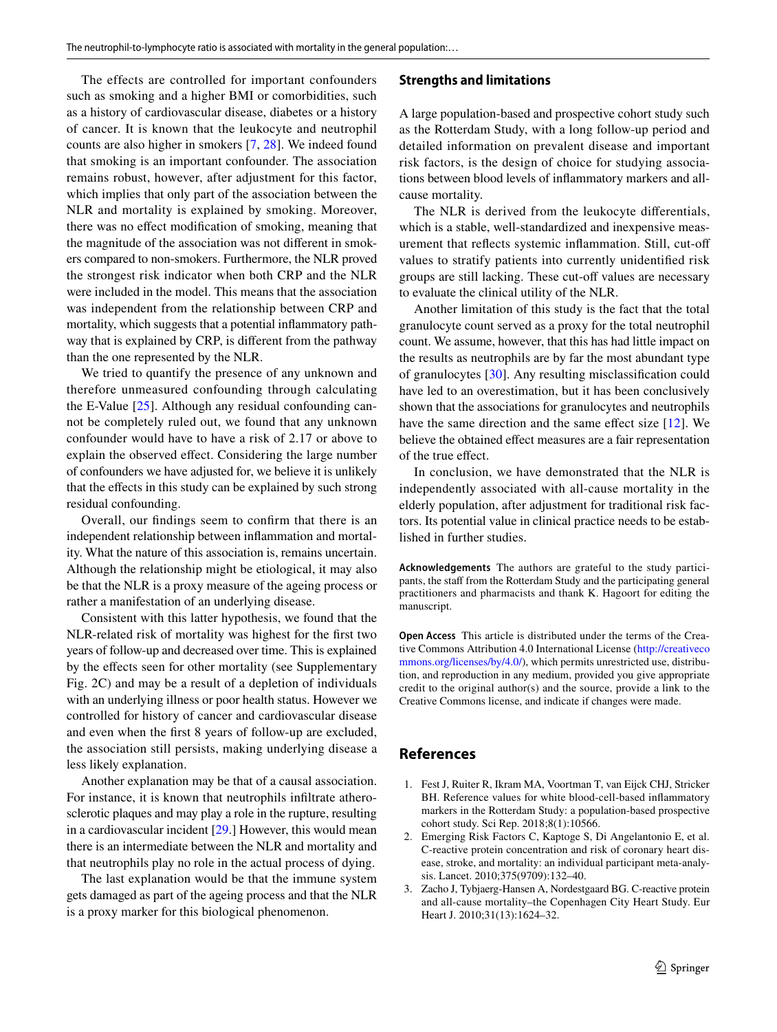The effects are controlled for important confounders such as smoking and a higher BMI or comorbidities, such as a history of cardiovascular disease, diabetes or a history of cancer. It is known that the leukocyte and neutrophil counts are also higher in smokers [[7,](#page-7-3) [28](#page-7-20)]. We indeed found that smoking is an important confounder. The association remains robust, however, after adjustment for this factor, which implies that only part of the association between the NLR and mortality is explained by smoking. Moreover, there was no efect modifcation of smoking, meaning that the magnitude of the association was not diferent in smokers compared to non-smokers. Furthermore, the NLR proved the strongest risk indicator when both CRP and the NLR were included in the model. This means that the association was independent from the relationship between CRP and mortality, which suggests that a potential infammatory pathway that is explained by CRP, is diferent from the pathway than the one represented by the NLR.

We tried to quantify the presence of any unknown and therefore unmeasured confounding through calculating the E-Value [[25](#page-7-17)]. Although any residual confounding cannot be completely ruled out, we found that any unknown confounder would have to have a risk of 2.17 or above to explain the observed effect. Considering the large number of confounders we have adjusted for, we believe it is unlikely that the effects in this study can be explained by such strong residual confounding.

Overall, our fndings seem to confrm that there is an independent relationship between infammation and mortality. What the nature of this association is, remains uncertain. Although the relationship might be etiological, it may also be that the NLR is a proxy measure of the ageing process or rather a manifestation of an underlying disease.

Consistent with this latter hypothesis, we found that the NLR-related risk of mortality was highest for the frst two years of follow-up and decreased over time. This is explained by the effects seen for other mortality (see Supplementary Fig. 2C) and may be a result of a depletion of individuals with an underlying illness or poor health status. However we controlled for history of cancer and cardiovascular disease and even when the frst 8 years of follow-up are excluded, the association still persists, making underlying disease a less likely explanation.

Another explanation may be that of a causal association. For instance, it is known that neutrophils infltrate atherosclerotic plaques and may play a role in the rupture, resulting in a cardiovascular incident [\[29](#page-7-21).] However, this would mean there is an intermediate between the NLR and mortality and that neutrophils play no role in the actual process of dying.

The last explanation would be that the immune system gets damaged as part of the ageing process and that the NLR is a proxy marker for this biological phenomenon.

## **Strengths and limitations**

A large population-based and prospective cohort study such as the Rotterdam Study, with a long follow-up period and detailed information on prevalent disease and important risk factors, is the design of choice for studying associations between blood levels of infammatory markers and allcause mortality.

The NLR is derived from the leukocyte diferentials, which is a stable, well-standardized and inexpensive measurement that refects systemic infammation. Still, cut-of values to stratify patients into currently unidentifed risk groups are still lacking. These cut-off values are necessary to evaluate the clinical utility of the NLR.

Another limitation of this study is the fact that the total granulocyte count served as a proxy for the total neutrophil count. We assume, however, that this has had little impact on the results as neutrophils are by far the most abundant type of granulocytes [\[30](#page-7-22)]. Any resulting misclassifcation could have led to an overestimation, but it has been conclusively shown that the associations for granulocytes and neutrophils have the same direction and the same effect size  $[12]$  $[12]$  $[12]$ . We believe the obtained effect measures are a fair representation of the true effect.

In conclusion, we have demonstrated that the NLR is independently associated with all-cause mortality in the elderly population, after adjustment for traditional risk factors. Its potential value in clinical practice needs to be established in further studies.

**Acknowledgements** The authors are grateful to the study participants, the staff from the Rotterdam Study and the participating general practitioners and pharmacists and thank K. Hagoort for editing the manuscript.

**Open Access** This article is distributed under the terms of the Creative Commons Attribution 4.0 International License ([http://creativeco](http://creativecommons.org/licenses/by/4.0/) [mmons.org/licenses/by/4.0/](http://creativecommons.org/licenses/by/4.0/)), which permits unrestricted use, distribution, and reproduction in any medium, provided you give appropriate credit to the original author(s) and the source, provide a link to the Creative Commons license, and indicate if changes were made.

# **References**

- <span id="page-6-0"></span>1. Fest J, Ruiter R, Ikram MA, Voortman T, van Eijck CHJ, Stricker BH. Reference values for white blood-cell-based infammatory markers in the Rotterdam Study: a population-based prospective cohort study. Sci Rep. 2018;8(1):10566.
- <span id="page-6-1"></span>2. Emerging Risk Factors C, Kaptoge S, Di Angelantonio E, et al. C-reactive protein concentration and risk of coronary heart disease, stroke, and mortality: an individual participant meta-analysis. Lancet. 2010;375(9709):132–40.
- 3. Zacho J, Tybjaerg-Hansen A, Nordestgaard BG. C-reactive protein and all-cause mortality–the Copenhagen City Heart Study. Eur Heart J. 2010;31(13):1624–32.